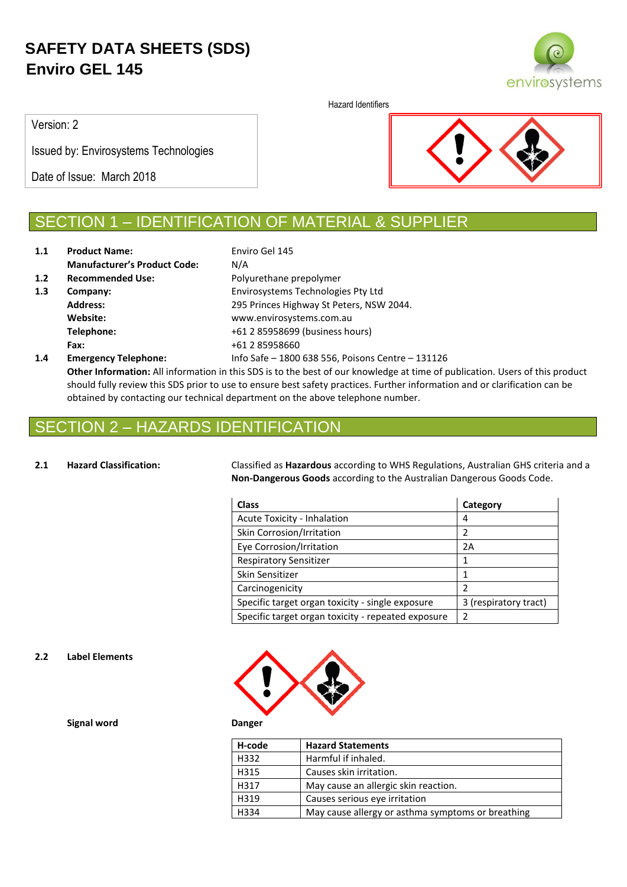

Hazard Identifiers

Version: 2

Issued by: Envirosystems Technologies

Date of Issue: March 2018



## SECTION 1 – IDENTIFICATION OF MATERIAL & SUPPLIER

| 1.1 | <b>Product Name:</b>                | Enviro Gel 145                                    |
|-----|-------------------------------------|---------------------------------------------------|
|     | <b>Manufacturer's Product Code:</b> | N/A                                               |
| 1.2 | <b>Recommended Use:</b>             | Polyurethane prepolymer                           |
| 1.3 | Company:                            | Envirosystems Technologies Pty Ltd                |
|     | <b>Address:</b>                     | 295 Princes Highway St Peters, NSW 2044.          |
|     | Website:                            | www.envirosystems.com.au                          |
|     | Telephone:                          | +61 2 85958699 (business hours)                   |
|     | Fax:                                | +61 2 85958660                                    |
| 1.4 | <b>Emergency Telephone:</b>         | Info Safe - 1800 638 556, Poisons Centre - 131126 |

**Other Information:** All information in this SDS is to the best of our knowledge at time of publication. Users of this product should fully review this SDS prior to use to ensure best safety practices. Further information and or clarification can be obtained by contacting our technical department on the above telephone number.

## 2 – HAZARDS IDENTIFICATION

**2.1 Hazard Classification:** Classified as **Hazardous** according to WHS Regulations, Australian GHS criteria and a **Non-Dangerous Goods** according to the Australian Dangerous Goods Code.

| <b>Class</b>                                       | Category              |
|----------------------------------------------------|-----------------------|
| <b>Acute Toxicity - Inhalation</b>                 | 4                     |
| Skin Corrosion/Irritation                          | 2                     |
| Eye Corrosion/Irritation                           | 2A                    |
| <b>Respiratory Sensitizer</b>                      | 1                     |
| Skin Sensitizer                                    | 1                     |
| Carcinogenicity                                    | 2                     |
| Specific target organ toxicity - single exposure   | 3 (respiratory tract) |
| Specific target organ toxicity - repeated exposure | $\mathcal{P}$         |

### **2.2 Label Elements**



**Signal word Danger**

| H-code | <b>Hazard Statements</b>                          |
|--------|---------------------------------------------------|
| H332   | Harmful if inhaled.                               |
| H315   | Causes skin irritation.                           |
| H317   | May cause an allergic skin reaction.              |
| H319   | Causes serious eye irritation                     |
| H334   | May cause allergy or asthma symptoms or breathing |
|        |                                                   |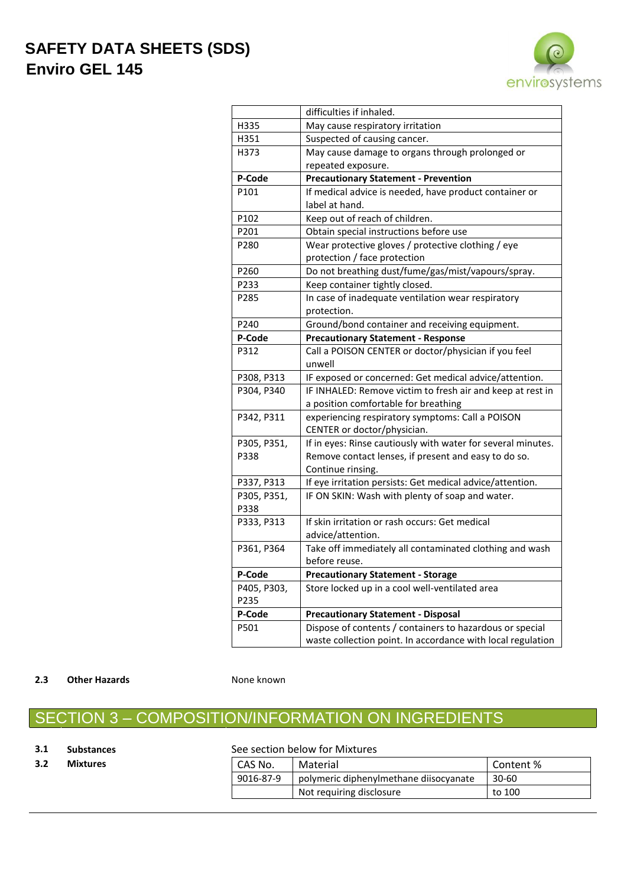

|             | difficulties if inhaled.                                     |
|-------------|--------------------------------------------------------------|
| H335        | May cause respiratory irritation                             |
| H351        | Suspected of causing cancer.                                 |
| H373        | May cause damage to organs through prolonged or              |
|             | repeated exposure.                                           |
| P-Code      | <b>Precautionary Statement - Prevention</b>                  |
| P101        | If medical advice is needed, have product container or       |
|             | label at hand.                                               |
| P102        | Keep out of reach of children.                               |
| P201        | Obtain special instructions before use                       |
| P280        | Wear protective gloves / protective clothing / eye           |
|             | protection / face protection                                 |
| P260        | Do not breathing dust/fume/gas/mist/vapours/spray.           |
| P233        | Keep container tightly closed.                               |
| P285        | In case of inadequate ventilation wear respiratory           |
|             | protection.                                                  |
| P240        | Ground/bond container and receiving equipment.               |
| P-Code      | <b>Precautionary Statement - Response</b>                    |
| P312        | Call a POISON CENTER or doctor/physician if you feel         |
|             | unwell                                                       |
| P308, P313  | IF exposed or concerned: Get medical advice/attention.       |
| P304, P340  | IF INHALED: Remove victim to fresh air and keep at rest in   |
|             | a position comfortable for breathing                         |
| P342, P311  | experiencing respiratory symptoms: Call a POISON             |
|             | CENTER or doctor/physician.                                  |
| P305, P351, | If in eyes: Rinse cautiously with water for several minutes. |
| P338        | Remove contact lenses, if present and easy to do so.         |
|             | Continue rinsing.                                            |
| P337, P313  | If eye irritation persists: Get medical advice/attention.    |
| P305, P351, | IF ON SKIN: Wash with plenty of soap and water.              |
| P338        |                                                              |
| P333, P313  | If skin irritation or rash occurs: Get medical               |
|             | advice/attention.                                            |
| P361, P364  | Take off immediately all contaminated clothing and wash      |
|             | before reuse.                                                |
| P-Code      | <b>Precautionary Statement - Storage</b>                     |
| P405, P303, | Store locked up in a cool well-ventilated area               |
| P235        |                                                              |
| P-Code      | <b>Precautionary Statement - Disposal</b>                    |
| P501        | Dispose of contents / containers to hazardous or special     |
|             | waste collection point. In accordance with local regulation  |

#### **2.3 Other Hazards None known**

# SECTION 3 – COMPOSITION/INFORMATION ON INGREDIENTS

### **3.1 Substances** See section below for Mixtures

| 3.2 | <b>Mixtures</b> | CAS No.   | Material                               | Content % |
|-----|-----------------|-----------|----------------------------------------|-----------|
|     |                 | 9016-87-9 | polymeric diphenylmethane diisocyanate | $30 - 60$ |
|     |                 |           | Not requiring disclosure               | to 100    |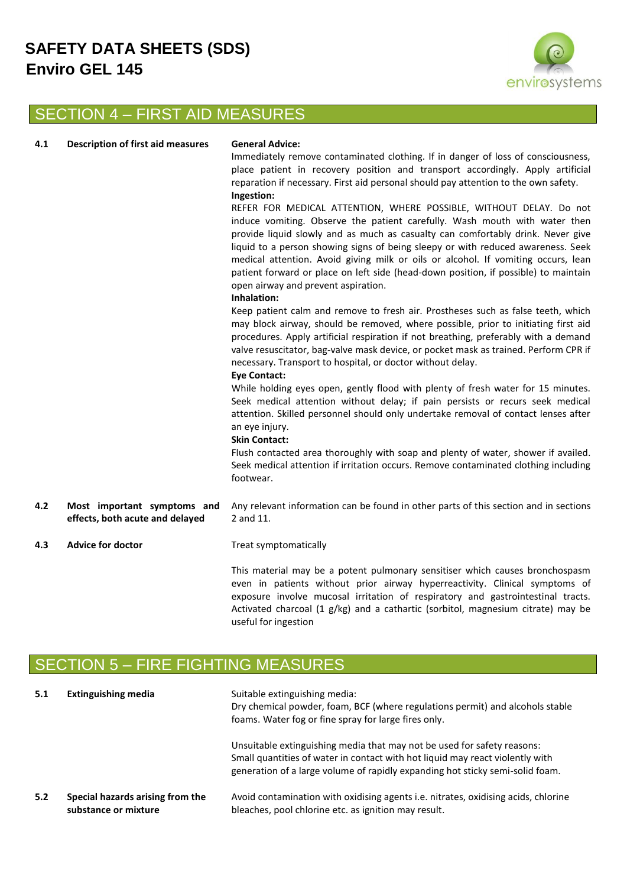

# SECTION 4 – FIRST AID MEASURES

| 4.1 | <b>Description of first aid measures</b> |  | G٥ |
|-----|------------------------------------------|--|----|

#### **4.1 eneral Advice:**

Immediately remove contaminated clothing. If in danger of loss of consciousness, place patient in recovery position and transport accordingly. Apply artificial reparation if necessary. First aid personal should pay attention to the own safety. **Ingestion:**

### REFER FOR MEDICAL ATTENTION, WHERE POSSIBLE, WITHOUT DELAY. Do not induce vomiting. Observe the patient carefully. Wash mouth with water then provide liquid slowly and as much as casualty can comfortably drink. Never give liquid to a person showing signs of being sleepy or with reduced awareness. Seek medical attention. Avoid giving milk or oils or alcohol. If vomiting occurs, lean patient forward or place on left side (head-down position, if possible) to maintain open airway and prevent aspiration.

#### **Inhalation:**

Keep patient calm and remove to fresh air. Prostheses such as false teeth, which may block airway, should be removed, where possible, prior to initiating first aid procedures. Apply artificial respiration if not breathing, preferably with a demand valve resuscitator, bag-valve mask device, or pocket mask as trained. Perform CPR if necessary. Transport to hospital, or doctor without delay.

#### **Eye Contact:**

While holding eyes open, gently flood with plenty of fresh water for 15 minutes. Seek medical attention without delay; if pain persists or recurs seek medical attention. Skilled personnel should only undertake removal of contact lenses after an eye injury.

#### **Skin Contact:**

Flush contacted area thoroughly with soap and plenty of water, shower if availed. Seek medical attention if irritation occurs. Remove contaminated clothing including footwear.

- **4.2 Most important symptoms and effects, both acute and delayed** Any relevant information can be found in other parts of this section and in sections 2 and 11.
- **4.3 Advice for doctor Treat symptomatically**

This material may be a potent pulmonary sensitiser which causes bronchospasm even in patients without prior airway hyperreactivity. Clinical symptoms of exposure involve mucosal irritation of respiratory and gastrointestinal tracts. Activated charcoal (1 g/kg) and a cathartic (sorbitol, magnesium citrate) may be useful for ingestion

## ION 5 – FIRE FIGHTING MEASURES

| 5.1 | <b>Extinguishing media</b>                               | Suitable extinguishing media:<br>Dry chemical powder, foam, BCF (where regulations permit) and alcohols stable<br>foams. Water fog or fine spray for large fires only.                                                                    |  |  |
|-----|----------------------------------------------------------|-------------------------------------------------------------------------------------------------------------------------------------------------------------------------------------------------------------------------------------------|--|--|
|     |                                                          | Unsuitable extinguishing media that may not be used for safety reasons:<br>Small quantities of water in contact with hot liquid may react violently with<br>generation of a large volume of rapidly expanding hot sticky semi-solid foam. |  |  |
| 5.2 | Special hazards arising from the<br>substance or mixture | Avoid contamination with oxidising agents i.e. nitrates, oxidising acids, chlorine<br>bleaches, pool chlorine etc. as ignition may result.                                                                                                |  |  |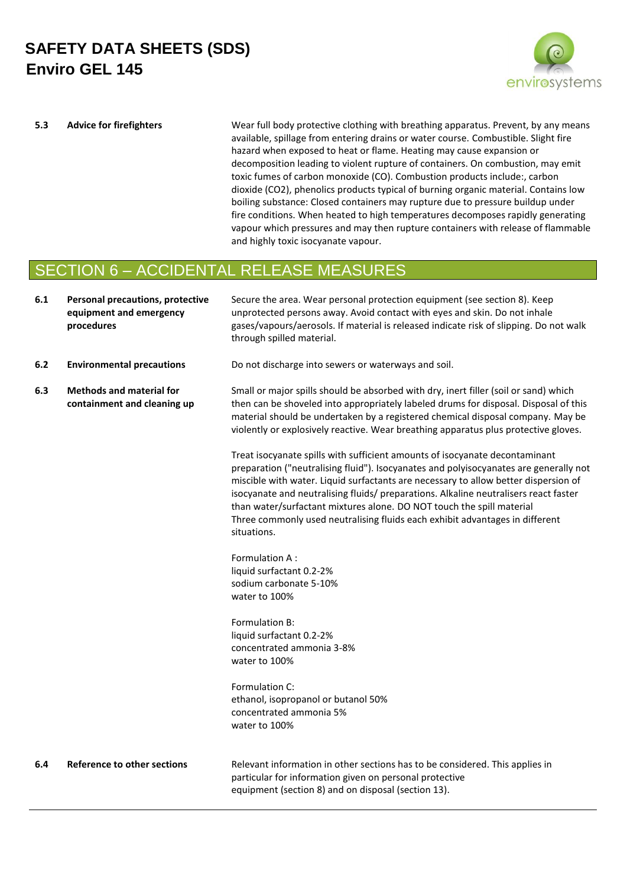

**5.3 Advice for firefighters** Wear full body protective clothing with breathing apparatus. Prevent, by any means available, spillage from entering drains or water course. Combustible. Slight fire hazard when exposed to heat or flame. Heating may cause expansion or decomposition leading to violent rupture of containers. On combustion, may emit toxic fumes of carbon monoxide (CO). Combustion products include:, carbon dioxide (CO2), phenolics products typical of burning organic material. Contains low boiling substance: Closed containers may rupture due to pressure buildup under fire conditions. When heated to high temperatures decomposes rapidly generating vapour which pressures and may then rupture containers with release of flammable and highly toxic isocyanate vapour.

## SECTION 6 – ACCIDENTAL RELEASE MEASURES

| 6.1 | Personal precautions, protective<br>equipment and emergency<br>procedures | Secure the area. Wear personal protection equipment (see section 8). Keep<br>unprotected persons away. Avoid contact with eyes and skin. Do not inhale<br>gases/vapours/aerosols. If material is released indicate risk of slipping. Do not walk<br>through spilled material.                                                                                                                                                                                                                                               |
|-----|---------------------------------------------------------------------------|-----------------------------------------------------------------------------------------------------------------------------------------------------------------------------------------------------------------------------------------------------------------------------------------------------------------------------------------------------------------------------------------------------------------------------------------------------------------------------------------------------------------------------|
| 6.2 | <b>Environmental precautions</b>                                          | Do not discharge into sewers or waterways and soil.                                                                                                                                                                                                                                                                                                                                                                                                                                                                         |
| 6.3 | <b>Methods and material for</b><br>containment and cleaning up            | Small or major spills should be absorbed with dry, inert filler (soil or sand) which<br>then can be shoveled into appropriately labeled drums for disposal. Disposal of this<br>material should be undertaken by a registered chemical disposal company. May be<br>violently or explosively reactive. Wear breathing apparatus plus protective gloves.                                                                                                                                                                      |
|     |                                                                           | Treat isocyanate spills with sufficient amounts of isocyanate decontaminant<br>preparation ("neutralising fluid"). Isocyanates and polyisocyanates are generally not<br>miscible with water. Liquid surfactants are necessary to allow better dispersion of<br>isocyanate and neutralising fluids/ preparations. Alkaline neutralisers react faster<br>than water/surfactant mixtures alone. DO NOT touch the spill material<br>Three commonly used neutralising fluids each exhibit advantages in different<br>situations. |
|     |                                                                           | Formulation A:<br>liquid surfactant 0.2-2%<br>sodium carbonate 5-10%<br>water to 100%                                                                                                                                                                                                                                                                                                                                                                                                                                       |
|     |                                                                           | Formulation B:<br>liquid surfactant 0.2-2%<br>concentrated ammonia 3-8%<br>water to 100%                                                                                                                                                                                                                                                                                                                                                                                                                                    |
|     |                                                                           | Formulation C:<br>ethanol, isopropanol or butanol 50%<br>concentrated ammonia 5%<br>water to 100%                                                                                                                                                                                                                                                                                                                                                                                                                           |
| 6.4 | Reference to other sections                                               | Relevant information in other sections has to be considered. This applies in<br>particular for information given on personal protective<br>equipment (section 8) and on disposal (section 13).                                                                                                                                                                                                                                                                                                                              |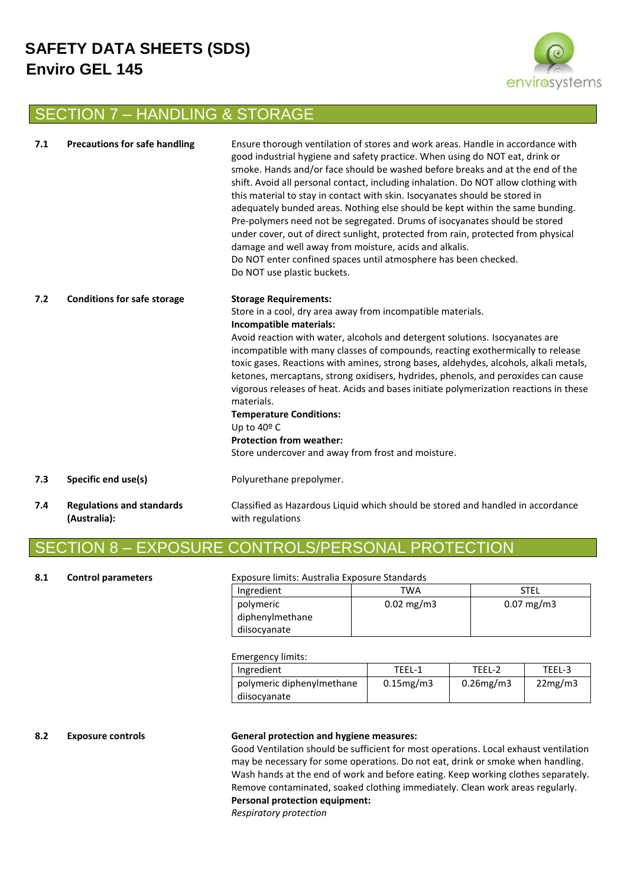

## SECTION 7 – HANDLING & STORAGE

| 7.1 | <b>Precautions for safe handling</b>             | Ensure thorough ventilation of stores and work areas. Handle in accordance with<br>good industrial hygiene and safety practice. When using do NOT eat, drink or<br>smoke. Hands and/or face should be washed before breaks and at the end of the<br>shift. Avoid all personal contact, including inhalation. Do NOT allow clothing with<br>this material to stay in contact with skin. Isocyanates should be stored in<br>adequately bunded areas. Nothing else should be kept within the same bunding.<br>Pre-polymers need not be segregated. Drums of isocyanates should be stored<br>under cover, out of direct sunlight, protected from rain, protected from physical<br>damage and well away from moisture, acids and alkalis.<br>Do NOT enter confined spaces until atmosphere has been checked.<br>Do NOT use plastic buckets. |
|-----|--------------------------------------------------|----------------------------------------------------------------------------------------------------------------------------------------------------------------------------------------------------------------------------------------------------------------------------------------------------------------------------------------------------------------------------------------------------------------------------------------------------------------------------------------------------------------------------------------------------------------------------------------------------------------------------------------------------------------------------------------------------------------------------------------------------------------------------------------------------------------------------------------|
| 7.2 | <b>Conditions for safe storage</b>               | <b>Storage Requirements:</b><br>Store in a cool, dry area away from incompatible materials.<br>Incompatible materials:<br>Avoid reaction with water, alcohols and detergent solutions. Isocyanates are<br>incompatible with many classes of compounds, reacting exothermically to release<br>toxic gases. Reactions with amines, strong bases, aldehydes, alcohols, alkali metals,<br>ketones, mercaptans, strong oxidisers, hydrides, phenols, and peroxides can cause<br>vigorous releases of heat. Acids and bases initiate polymerization reactions in these<br>materials.<br><b>Temperature Conditions:</b><br>Up to 40º C<br><b>Protection from weather:</b><br>Store undercover and away from frost and moisture.                                                                                                               |
| 7.3 | Specific end use(s)                              | Polyurethane prepolymer.                                                                                                                                                                                                                                                                                                                                                                                                                                                                                                                                                                                                                                                                                                                                                                                                               |
| 7.4 | <b>Regulations and standards</b><br>(Australia): | Classified as Hazardous Liquid which should be stored and handled in accordance<br>with regulations                                                                                                                                                                                                                                                                                                                                                                                                                                                                                                                                                                                                                                                                                                                                    |

## SECTION 8 – EXPOSURE CONTROLS/PERSONAL PROTECTION

### **8.1 Control parameters** Exposure limits: Australia Exposure Standards

| Ingredient      | <b>TWA</b>            | <b>STEL</b>             |
|-----------------|-----------------------|-------------------------|
| polymeric       | $0.02 \text{ mg/m}$ 3 | $0.07 \,\mathrm{mg/m3}$ |
| diphenylmethane |                       |                         |
| diisocyanate    |                       |                         |

### Emergency limits:

| Ingredient                | TFFI-1          | TFFI-2          | TEEL-3  |  |
|---------------------------|-----------------|-----------------|---------|--|
| polymeric diphenylmethane | $0.15$ mg/m $3$ | $0.26$ mg/m $3$ | 22mg/m3 |  |
| diisocyanate              |                 |                 |         |  |

### **8.2 Exposure controls General protection and hygiene measures:**

Good Ventilation should be sufficient for most operations. Local exhaust ventilation may be necessary for some operations. Do not eat, drink or smoke when handling. Wash hands at the end of work and before eating. Keep working clothes separately. Remove contaminated, soaked clothing immediately. Clean work areas regularly. **Personal protection equipment:**

*Respiratory protection*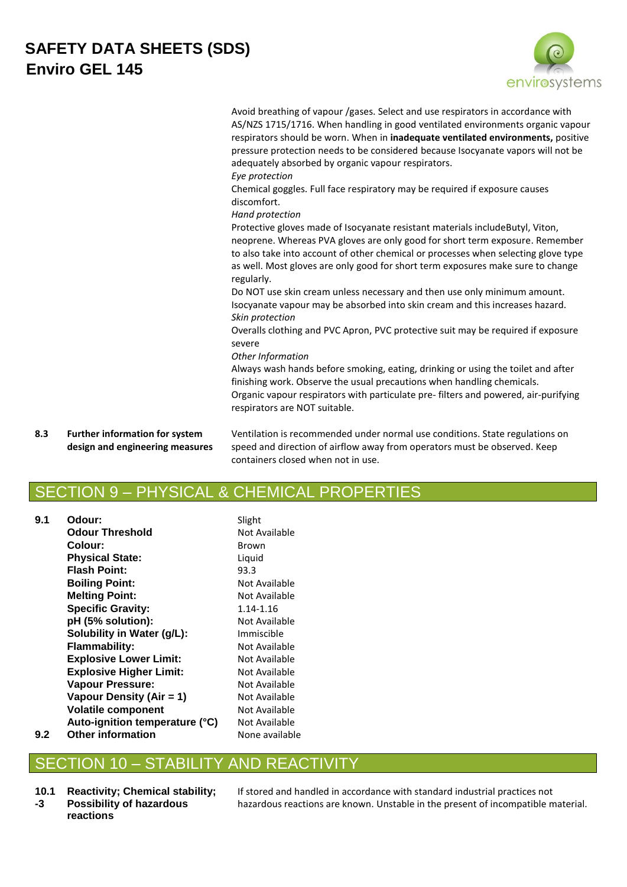| $\odot$       |  |
|---------------|--|
|               |  |
| envirosystems |  |

*Eye protection*

Chemical goggles. Full face respiratory may be required if exposure causes discomfort.

*Hand protection*

Protective gloves made of Isocyanate resistant materials includeButyl, Viton, neoprene. Whereas PVA gloves are only good for short term exposure. Remember to also take into account of other chemical or processes when selecting glove type as well. Most gloves are only good for short term exposures make sure to change regularly.

Do NOT use skin cream unless necessary and then use only minimum amount. Isocyanate vapour may be absorbed into skin cream and this increases hazard. *Skin protection*

Overalls clothing and PVC Apron, PVC protective suit may be required if exposure severe

#### *Other Information*

Always wash hands before smoking, eating, drinking or using the toilet and after finishing work. Observe the usual precautions when handling chemicals. Organic vapour respirators with particulate pre- filters and powered, air-purifying respirators are NOT suitable.

**8.3 Further information for system design and engineering measures** Ventilation is recommended under normal use conditions. State regulations on speed and direction of airflow away from operators must be observed. Keep containers closed when not in use.

## SECTION 9 – PHYSICAL & CHEMICAL PROPERTIES

**9.1 Odour:** Slight **Odour Threshold** Not Available **Colour:** Brown **Physical State:** Liquid **Flash Point:** 93.3 **Boiling Point:** Not Available **Melting Point:** Not Available **Specific Gravity:** 1.14-1.16 **pH (5% solution):** Not Available **Solubility in Water (g/L):** Immiscible **Flammability:** Not Available **Explosive Lower Limit:** Not Available **Explosive Higher Limit:** Not Available **Vapour Pressure:** Not Available **Vapour Density (Air = 1)** Not Available **Volatile component** Not Available **Auto-ignition temperature (°C)** Not Available

### **9.2 Other information** None available

## SECTION 10 – STABILITY AND REACTIVITY

**10.1 -3 Reactivity; Chemical stability; Possibility of hazardous reactions**

If stored and handled in accordance with standard industrial practices not hazardous reactions are known. Unstable in the present of incompatible material.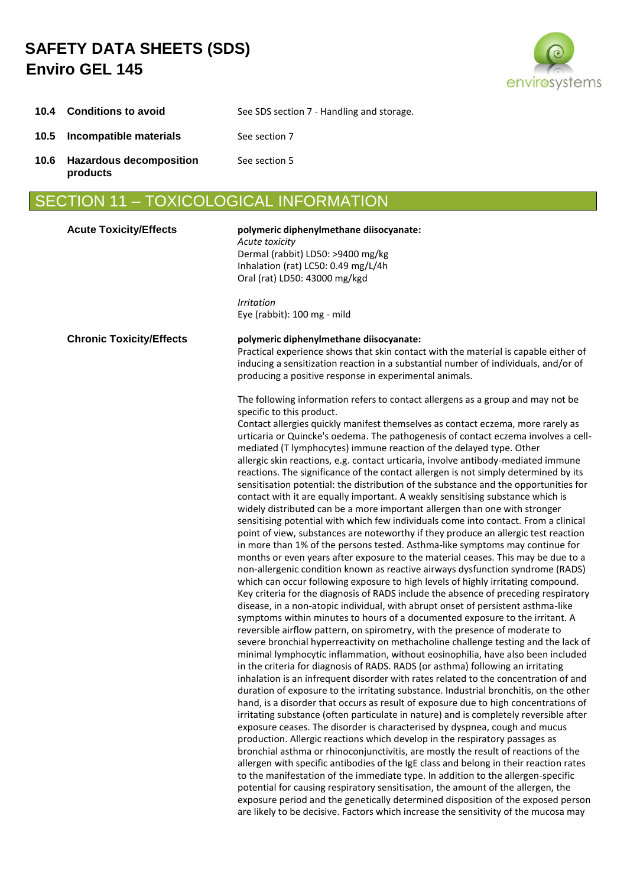

|  | 10.4 Conditions to avoid | See SDS section 7 - Handling and storage. |
|--|--------------------------|-------------------------------------------|
|--|--------------------------|-------------------------------------------|

- **10.5 Incompatible materials** See section 7
- **10.6 Hazardous decomposition products** See section 5
- SECTION 11 TOXICOLOGICAL INFORMATION

| <b>Acute Toxicity/Effects</b>   | polymeric diphenylmethane diisocyanate:<br>Acute toxicity<br>Dermal (rabbit) LD50: >9400 mg/kg<br>Inhalation (rat) LC50: 0.49 mg/L/4h<br>Oral (rat) LD50: 43000 mg/kgd                                                                                                                                                                                                                                                                                                                                                                                                                                                                                                                                                                                                                                                                                                                                                                                                                                                                                                                                                                                                                                                                                                                                                                                                                                                                                                                                                                                                                                                                                                                                                                                                                                                                                                                                                                                                                                                                                                                                                                                                                                                                                                                                                                                                                                                                                                                                                                                                                                                                                                                                                                                                                                                                                                                                                                                                                       |
|---------------------------------|----------------------------------------------------------------------------------------------------------------------------------------------------------------------------------------------------------------------------------------------------------------------------------------------------------------------------------------------------------------------------------------------------------------------------------------------------------------------------------------------------------------------------------------------------------------------------------------------------------------------------------------------------------------------------------------------------------------------------------------------------------------------------------------------------------------------------------------------------------------------------------------------------------------------------------------------------------------------------------------------------------------------------------------------------------------------------------------------------------------------------------------------------------------------------------------------------------------------------------------------------------------------------------------------------------------------------------------------------------------------------------------------------------------------------------------------------------------------------------------------------------------------------------------------------------------------------------------------------------------------------------------------------------------------------------------------------------------------------------------------------------------------------------------------------------------------------------------------------------------------------------------------------------------------------------------------------------------------------------------------------------------------------------------------------------------------------------------------------------------------------------------------------------------------------------------------------------------------------------------------------------------------------------------------------------------------------------------------------------------------------------------------------------------------------------------------------------------------------------------------------------------------------------------------------------------------------------------------------------------------------------------------------------------------------------------------------------------------------------------------------------------------------------------------------------------------------------------------------------------------------------------------------------------------------------------------------------------------------------------------|
|                                 | <b>Irritation</b><br>Eye (rabbit): 100 mg - mild                                                                                                                                                                                                                                                                                                                                                                                                                                                                                                                                                                                                                                                                                                                                                                                                                                                                                                                                                                                                                                                                                                                                                                                                                                                                                                                                                                                                                                                                                                                                                                                                                                                                                                                                                                                                                                                                                                                                                                                                                                                                                                                                                                                                                                                                                                                                                                                                                                                                                                                                                                                                                                                                                                                                                                                                                                                                                                                                             |
| <b>Chronic Toxicity/Effects</b> | polymeric diphenylmethane diisocyanate:<br>Practical experience shows that skin contact with the material is capable either of<br>inducing a sensitization reaction in a substantial number of individuals, and/or of<br>producing a positive response in experimental animals.                                                                                                                                                                                                                                                                                                                                                                                                                                                                                                                                                                                                                                                                                                                                                                                                                                                                                                                                                                                                                                                                                                                                                                                                                                                                                                                                                                                                                                                                                                                                                                                                                                                                                                                                                                                                                                                                                                                                                                                                                                                                                                                                                                                                                                                                                                                                                                                                                                                                                                                                                                                                                                                                                                              |
|                                 | The following information refers to contact allergens as a group and may not be<br>specific to this product.<br>Contact allergies quickly manifest themselves as contact eczema, more rarely as<br>urticaria or Quincke's oedema. The pathogenesis of contact eczema involves a cell-<br>mediated (T lymphocytes) immune reaction of the delayed type. Other<br>allergic skin reactions, e.g. contact urticaria, involve antibody-mediated immune<br>reactions. The significance of the contact allergen is not simply determined by its<br>sensitisation potential: the distribution of the substance and the opportunities for<br>contact with it are equally important. A weakly sensitising substance which is<br>widely distributed can be a more important allergen than one with stronger<br>sensitising potential with which few individuals come into contact. From a clinical<br>point of view, substances are noteworthy if they produce an allergic test reaction<br>in more than 1% of the persons tested. Asthma-like symptoms may continue for<br>months or even years after exposure to the material ceases. This may be due to a<br>non-allergenic condition known as reactive airways dysfunction syndrome (RADS)<br>which can occur following exposure to high levels of highly irritating compound.<br>Key criteria for the diagnosis of RADS include the absence of preceding respiratory<br>disease, in a non-atopic individual, with abrupt onset of persistent asthma-like<br>symptoms within minutes to hours of a documented exposure to the irritant. A<br>reversible airflow pattern, on spirometry, with the presence of moderate to<br>severe bronchial hyperreactivity on methacholine challenge testing and the lack of<br>minimal lymphocytic inflammation, without eosinophilia, have also been included<br>in the criteria for diagnosis of RADS. RADS (or asthma) following an irritating<br>inhalation is an infrequent disorder with rates related to the concentration of and<br>duration of exposure to the irritating substance. Industrial bronchitis, on the other<br>hand, is a disorder that occurs as result of exposure due to high concentrations of<br>irritating substance (often particulate in nature) and is completely reversible after<br>exposure ceases. The disorder is characterised by dyspnea, cough and mucus<br>production. Allergic reactions which develop in the respiratory passages as<br>bronchial asthma or rhinoconjunctivitis, are mostly the result of reactions of the<br>allergen with specific antibodies of the IgE class and belong in their reaction rates<br>to the manifestation of the immediate type. In addition to the allergen-specific<br>potential for causing respiratory sensitisation, the amount of the allergen, the<br>exposure period and the genetically determined disposition of the exposed person<br>are likely to be decisive. Factors which increase the sensitivity of the mucosa may |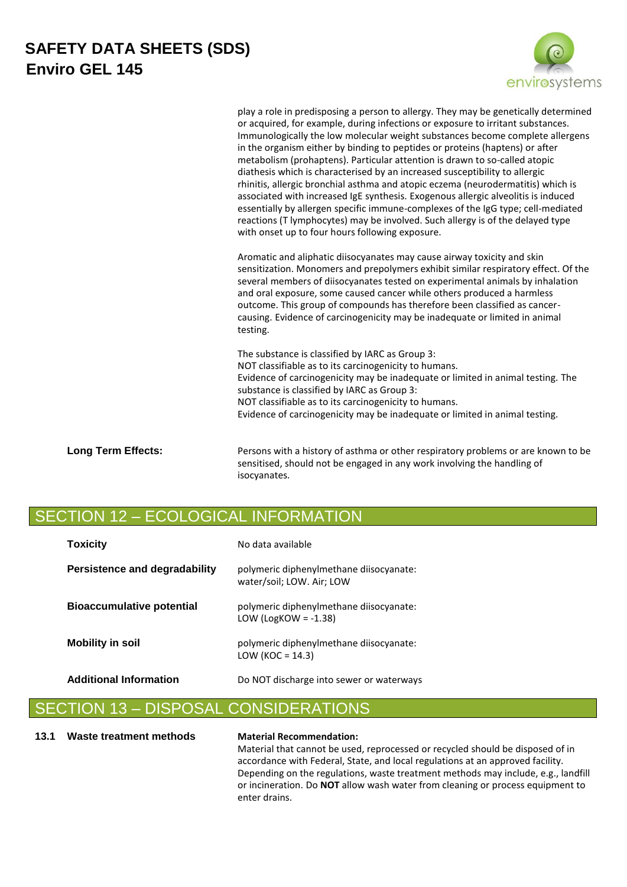

play a role in predisposing a person to allergy. They may be genetically determined or acquired, for example, during infections or exposure to irritant substances. Immunologically the low molecular weight substances become complete allergens in the organism either by binding to peptides or proteins (haptens) or after metabolism (prohaptens). Particular attention is drawn to so-called atopic diathesis which is characterised by an increased susceptibility to allergic rhinitis, allergic bronchial asthma and atopic eczema (neurodermatitis) which is associated with increased IgE synthesis. Exogenous allergic alveolitis is induced essentially by allergen specific immune-complexes of the IgG type; cell-mediated reactions (T lymphocytes) may be involved. Such allergy is of the delayed type with onset up to four hours following exposure.

Aromatic and aliphatic diisocyanates may cause airway toxicity and skin sensitization. Monomers and prepolymers exhibit similar respiratory effect. Of the several members of diisocyanates tested on experimental animals by inhalation and oral exposure, some caused cancer while others produced a harmless outcome. This group of compounds has therefore been classified as cancercausing. Evidence of carcinogenicity may be inadequate or limited in animal testing.

The substance is classified by IARC as Group 3: NOT classifiable as to its carcinogenicity to humans. Evidence of carcinogenicity may be inadequate or limited in animal testing. The substance is classified by IARC as Group 3: NOT classifiable as to its carcinogenicity to humans. Evidence of carcinogenicity may be inadequate or limited in animal testing.

Long Term Effects: **Persons with a history of asthma or other respiratory problems or are known to be** sensitised, should not be engaged in any work involving the handling of isocyanates.

## SECTION 12 – ECOLOGICAL INFORMATION

| <b>Toxicity</b>                      | No data available                                                    |
|--------------------------------------|----------------------------------------------------------------------|
| <b>Persistence and degradability</b> | polymeric diphenylmethane diisocyanate:<br>water/soil; LOW. Air; LOW |
| <b>Bioaccumulative potential</b>     | polymeric diphenylmethane diisocyanate:<br>LOW (LogKOW = $-1.38$ )   |
| <b>Mobility in soil</b>              | polymeric diphenylmethane diisocyanate:<br>LOW (KOC = $14.3$ )       |
| <b>Additional Information</b>        | Do NOT discharge into sewer or waterways                             |

## ON 13 – DISPOSAL CONSIDERATIONS

### **13.1 Waste treatment methods Material Recommendation:**

Material that cannot be used, reprocessed or recycled should be disposed of in accordance with Federal, State, and local regulations at an approved facility. Depending on the regulations, waste treatment methods may include, e.g., landfill or incineration. Do **NOT** allow wash water from cleaning or process equipment to enter drains.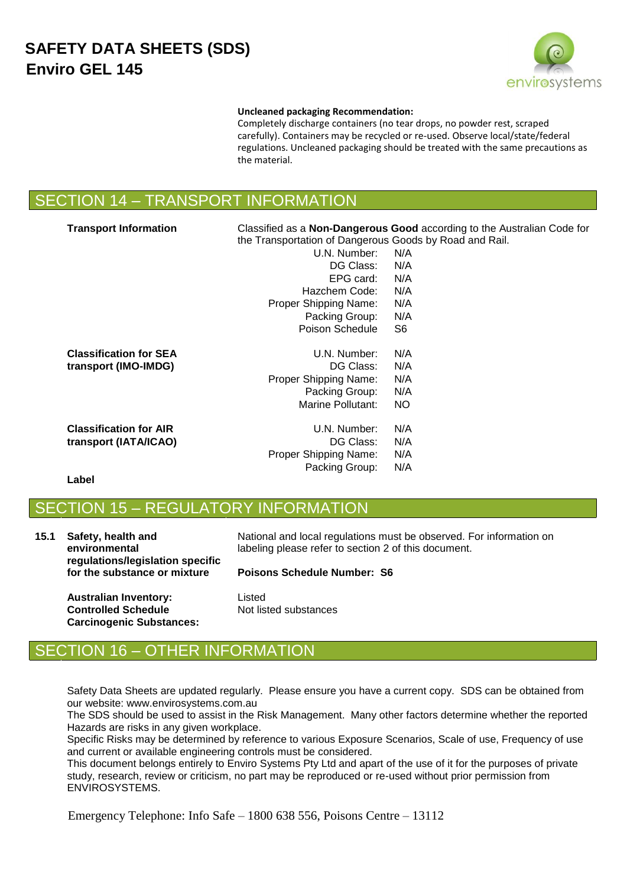

#### **Uncleaned packaging Recommendation:**

Completely discharge containers (no tear drops, no powder rest, scraped carefully). Containers may be recycled or re-used. Observe local/state/federal regulations. Uncleaned packaging should be treated with the same precautions as the material.

## SECTION 14 – TRANSPORT INFORMATION

| <b>Transport Information</b>  |                                                         | Classified as a <b>Non-Dangerous Good</b> according to the Australian Code for |
|-------------------------------|---------------------------------------------------------|--------------------------------------------------------------------------------|
|                               | the Transportation of Dangerous Goods by Road and Rail. |                                                                                |
|                               | U.N. Number:                                            | N/A                                                                            |
|                               | DG Class:                                               | N/A                                                                            |
|                               | EPG card:                                               | N/A                                                                            |
|                               | Hazchem Code:                                           | N/A                                                                            |
|                               | Proper Shipping Name:                                   | N/A                                                                            |
|                               | Packing Group:                                          | N/A                                                                            |
|                               | Poison Schedule                                         | S6                                                                             |
| <b>Classification for SEA</b> | U.N. Number:                                            | N/A                                                                            |
| transport (IMO-IMDG)          | DG Class:                                               | N/A                                                                            |
|                               | Proper Shipping Name:                                   | N/A                                                                            |
|                               | Packing Group:                                          | N/A                                                                            |
|                               | Marine Pollutant:                                       | NO.                                                                            |
| <b>Classification for AIR</b> | U.N. Number:                                            | N/A                                                                            |
| transport (IATA/ICAO)         | DG Class:                                               | N/A                                                                            |
|                               | Proper Shipping Name:                                   | N/A                                                                            |
|                               | Packing Group:                                          | N/A                                                                            |
| Label                         |                                                         |                                                                                |

## SECTION 15 – REGULATORY INFORMATION

| 15.1 | Safety, health and<br>environmental<br>regulations/legislation specific<br>for the substance or mixture | National and local regulations must be observed. For information on<br>labeling please refer to section 2 of this document. |
|------|---------------------------------------------------------------------------------------------------------|-----------------------------------------------------------------------------------------------------------------------------|
|      |                                                                                                         | <b>Poisons Schedule Number: S6</b>                                                                                          |
|      | <b>Australian Inventory:</b>                                                                            | Listed                                                                                                                      |

**Controlled Schedule Carcinogenic Substances:** Not listed substances

## SECTION 16 – OTHER INFORMATION

Safety Data Sheets are updated regularly. Please ensure you have a current copy. SDS can be obtained from our website: www.envirosystems.com.au

The SDS should be used to assist in the Risk Management. Many other factors determine whether the reported Hazards are risks in any given workplace.

Specific Risks may be determined by reference to various Exposure Scenarios, Scale of use, Frequency of use and current or available engineering controls must be considered.

This document belongs entirely to Enviro Systems Pty Ltd and apart of the use of it for the purposes of private study, research, review or criticism, no part may be reproduced or re-used without prior permission from ENVIROSYSTEMS.

Emergency Telephone: Info Safe – 1800 638 556, Poisons Centre – 13112